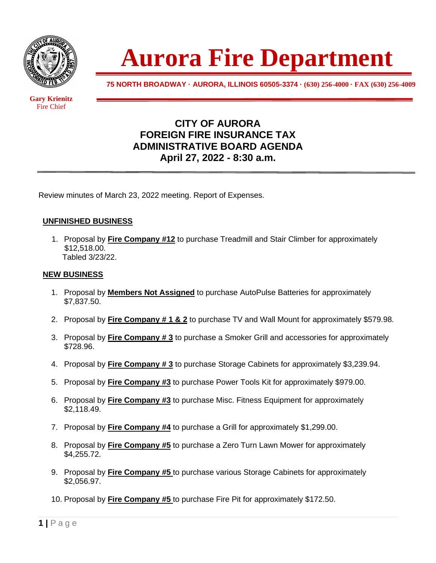

 Fire Chief

**Gary Krienitz** 

**Aurora Fire Department**

**75 NORTH BROADWAY · AURORA, ILLINOIS 60505-3374 · (630) 256-4000 · FAX (630) 256-4009**

## **CITY OF AURORA FOREIGN FIRE INSURANCE TAX ADMINISTRATIVE BOARD AGENDA April 27, 2022 - 8:30 a.m.**

Review minutes of March 23, 2022 meeting. Report of Expenses.

## **UNFINISHED BUSINESS**

1. Proposal by **Fire Company #12** to purchase Treadmill and Stair Climber for approximately \$12,518.00. Tabled 3/23/22.

## **NEW BUSINESS**

- 1. Proposal by **Members Not Assigned** to purchase AutoPulse Batteries for approximately \$7,837.50.
- 2. Proposal by **Fire Company # 1 & 2** to purchase TV and Wall Mount for approximately \$579.98.
- 3. Proposal by **Fire Company # 3** to purchase a Smoker Grill and accessories for approximately \$728.96.
- 4. Proposal by **Fire Company # 3** to purchase Storage Cabinets for approximately \$3,239.94.
- 5. Proposal by **Fire Company #3** to purchase Power Tools Kit for approximately \$979.00.
- 6. Proposal by **Fire Company #3** to purchase Misc. Fitness Equipment for approximately \$2,118.49.
- 7. Proposal by **Fire Company #4** to purchase a Grill for approximately \$1,299.00.
- 8. Proposal by **Fire Company #5** to purchase a Zero Turn Lawn Mower for approximately \$4,255.72.
- 9. Proposal by **Fire Company #5** to purchase various Storage Cabinets for approximately \$2,056.97.
- 10. Proposal by **Fire Company #5** to purchase Fire Pit for approximately \$172.50.